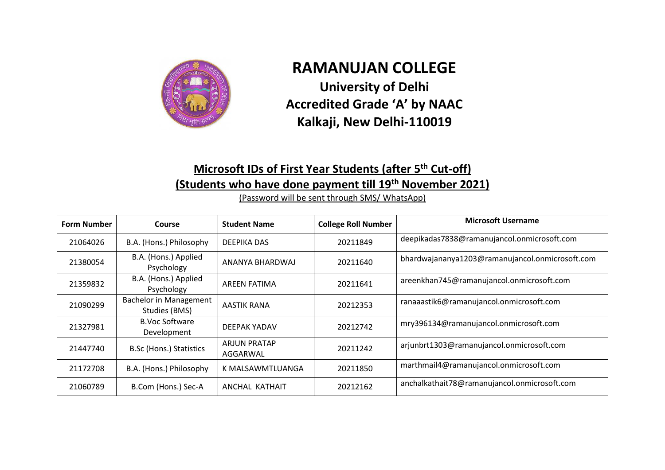

## **RAMANUJAN COLLEGE University of Delhi Accredited Grade 'A' by NAAC Kalkaji, New Delhi-110019**

## **Microsoft IDs of First Year Students (after 5 th Cut-off) (Students who have done payment till 19th November 2021)**

(Password will be sent through SMS/ WhatsApp)

| <b>Form Number</b> | Course                                         | <b>Student Name</b>             | <b>College Roll Number</b> | <b>Microsoft Username</b>                       |
|--------------------|------------------------------------------------|---------------------------------|----------------------------|-------------------------------------------------|
| 21064026           | B.A. (Hons.) Philosophy                        | DEEPIKA DAS                     | 20211849                   | deepikadas7838@ramanujancol.onmicrosoft.com     |
| 21380054           | B.A. (Hons.) Applied<br>Psychology             | ANANYA BHARDWAJ                 | 20211640                   | bhardwajananya1203@ramanujancol.onmicrosoft.com |
| 21359832           | B.A. (Hons.) Applied<br>Psychology             | AREEN FATIMA                    | 20211641                   | areenkhan745@ramanujancol.onmicrosoft.com       |
| 21090299           | <b>Bachelor in Management</b><br>Studies (BMS) | AASTIK RANA                     | 20212353                   | ranaaastik6@ramanujancol.onmicrosoft.com        |
| 21327981           | <b>B.Voc Software</b><br>Development           | DEEPAK YADAV                    | 20212742                   | mry396134@ramanujancol.onmicrosoft.com          |
| 21447740           | <b>B.Sc (Hons.) Statistics</b>                 | <b>ARJUN PRATAP</b><br>AGGARWAL | 20211242                   | arjunbrt1303@ramanujancol.onmicrosoft.com       |
| 21172708           | B.A. (Hons.) Philosophy                        | K MALSAWMTLUANGA                | 20211850                   | marthmail4@ramanujancol.onmicrosoft.com         |
| 21060789           | B.Com (Hons.) Sec-A                            | ANCHAL KATHAIT                  | 20212162                   | anchalkathait78@ramanujancol.onmicrosoft.com    |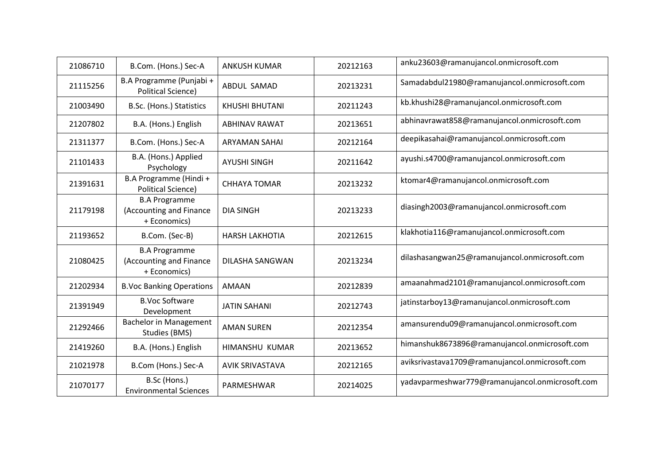| 21086710 | B.Com. (Hons.) Sec-A                                            | <b>ANKUSH KUMAR</b>    | 20212163 | anku23603@ramanujancol.onmicrosoft.com          |
|----------|-----------------------------------------------------------------|------------------------|----------|-------------------------------------------------|
| 21115256 | B.A Programme (Punjabi +<br><b>Political Science)</b>           | ABDUL SAMAD            | 20213231 | Samadabdul21980@ramanujancol.onmicrosoft.com    |
| 21003490 | B.Sc. (Hons.) Statistics                                        | KHUSHI BHUTANI         | 20211243 | kb.khushi28@ramanujancol.onmicrosoft.com        |
| 21207802 | B.A. (Hons.) English                                            | <b>ABHINAV RAWAT</b>   | 20213651 | abhinavrawat858@ramanujancol.onmicrosoft.com    |
| 21311377 | B.Com. (Hons.) Sec-A                                            | <b>ARYAMAN SAHAI</b>   | 20212164 | deepikasahai@ramanujancol.onmicrosoft.com       |
| 21101433 | B.A. (Hons.) Applied<br>Psychology                              | <b>AYUSHI SINGH</b>    | 20211642 | ayushi.s4700@ramanujancol.onmicrosoft.com       |
| 21391631 | B.A Programme (Hindi +<br><b>Political Science)</b>             | <b>CHHAYA TOMAR</b>    | 20213232 | ktomar4@ramanujancol.onmicrosoft.com            |
| 21179198 | <b>B.A Programme</b><br>(Accounting and Finance<br>+ Economics) | <b>DIA SINGH</b>       | 20213233 | diasingh2003@ramanujancol.onmicrosoft.com       |
| 21193652 | B.Com. (Sec-B)                                                  | <b>HARSH LAKHOTIA</b>  | 20212615 | klakhotia116@ramanujancol.onmicrosoft.com       |
| 21080425 | <b>B.A Programme</b><br>(Accounting and Finance<br>+ Economics) | <b>DILASHA SANGWAN</b> | 20213234 | dilashasangwan25@ramanujancol.onmicrosoft.com   |
| 21202934 | <b>B.Voc Banking Operations</b>                                 | AMAAN                  | 20212839 | amaanahmad2101@ramanujancol.onmicrosoft.com     |
| 21391949 | <b>B.Voc Software</b><br>Development                            | <b>JATIN SAHANI</b>    | 20212743 | jatinstarboy13@ramanujancol.onmicrosoft.com     |
| 21292466 | <b>Bachelor in Management</b><br>Studies (BMS)                  | <b>AMAN SUREN</b>      | 20212354 | amansurendu09@ramanujancol.onmicrosoft.com      |
| 21419260 | B.A. (Hons.) English                                            | HIMANSHU KUMAR         | 20213652 | himanshuk8673896@ramanujancol.onmicrosoft.com   |
| 21021978 | B.Com (Hons.) Sec-A                                             | <b>AVIK SRIVASTAVA</b> | 20212165 | aviksrivastava1709@ramanujancol.onmicrosoft.com |
| 21070177 | B.Sc (Hons.)<br><b>Environmental Sciences</b>                   | PARMESHWAR             | 20214025 | yadavparmeshwar779@ramanujancol.onmicrosoft.com |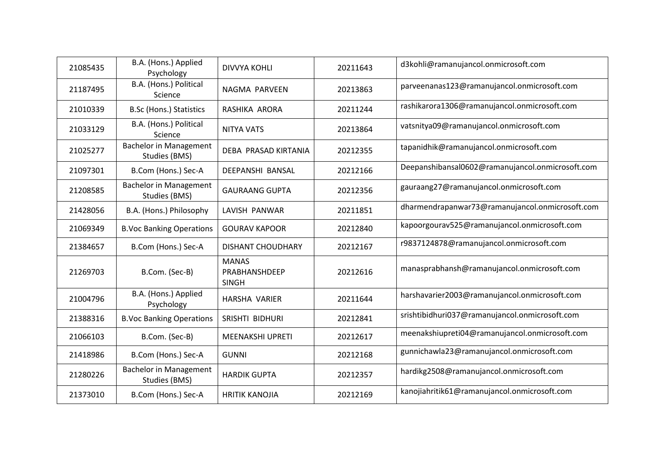| 21085435 | B.A. (Hons.) Applied<br>Psychology             | <b>DIVVYA KOHLI</b>                           | 20211643 | d3kohli@ramanujancol.onmicrosoft.com             |
|----------|------------------------------------------------|-----------------------------------------------|----------|--------------------------------------------------|
| 21187495 | B.A. (Hons.) Political<br>Science              | NAGMA PARVEEN                                 | 20213863 | parveenanas123@ramanujancol.onmicrosoft.com      |
| 21010339 | <b>B.Sc (Hons.) Statistics</b>                 | RASHIKA ARORA                                 | 20211244 | rashikarora1306@ramanujancol.onmicrosoft.com     |
| 21033129 | B.A. (Hons.) Political<br>Science              | <b>NITYA VATS</b>                             | 20213864 | vatsnitya09@ramanujancol.onmicrosoft.com         |
| 21025277 | <b>Bachelor in Management</b><br>Studies (BMS) | DEBA PRASAD KIRTANIA                          | 20212355 | tapanidhik@ramanujancol.onmicrosoft.com          |
| 21097301 | B.Com (Hons.) Sec-A                            | DEEPANSHI BANSAL                              | 20212166 | Deepanshibansal0602@ramanujancol.onmicrosoft.com |
| 21208585 | <b>Bachelor in Management</b><br>Studies (BMS) | <b>GAURAANG GUPTA</b>                         | 20212356 | gauraang27@ramanujancol.onmicrosoft.com          |
| 21428056 | B.A. (Hons.) Philosophy                        | LAVISH PANWAR                                 | 20211851 | dharmendrapanwar73@ramanujancol.onmicrosoft.com  |
| 21069349 | <b>B.Voc Banking Operations</b>                | <b>GOURAV KAPOOR</b>                          | 20212840 | kapoorgourav525@ramanujancol.onmicrosoft.com     |
| 21384657 | B.Com (Hons.) Sec-A                            | <b>DISHANT CHOUDHARY</b>                      | 20212167 | r9837124878@ramanujancol.onmicrosoft.com         |
| 21269703 | B.Com. (Sec-B)                                 | <b>MANAS</b><br>PRABHANSHDEEP<br><b>SINGH</b> | 20212616 | manasprabhansh@ramanujancol.onmicrosoft.com      |
| 21004796 | B.A. (Hons.) Applied<br>Psychology             | <b>HARSHA VARIER</b>                          | 20211644 | harshavarier2003@ramanujancol.onmicrosoft.com    |
| 21388316 | <b>B.Voc Banking Operations</b>                | SRISHTI BIDHURI                               | 20212841 | srishtibidhuri037@ramanujancol.onmicrosoft.com   |
| 21066103 | B.Com. (Sec-B)                                 | <b>MEENAKSHI UPRETI</b>                       | 20212617 | meenakshiupreti04@ramanujancol.onmicrosoft.com   |
| 21418986 | B.Com (Hons.) Sec-A                            | <b>GUNNI</b>                                  | 20212168 | gunnichawla23@ramanujancol.onmicrosoft.com       |
| 21280226 | <b>Bachelor in Management</b><br>Studies (BMS) | <b>HARDIK GUPTA</b>                           | 20212357 | hardikg2508@ramanujancol.onmicrosoft.com         |
| 21373010 | B.Com (Hons.) Sec-A                            | <b>HRITIK KANOJIA</b>                         | 20212169 | kanojiahritik61@ramanujancol.onmicrosoft.com     |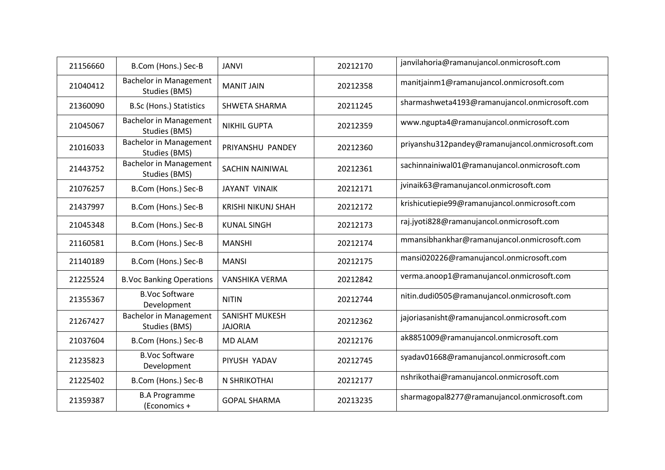| 21156660 | B.Com (Hons.) Sec-B                            | <b>JANVI</b>                            | 20212170 | janvilahoria@ramanujancol.onmicrosoft.com       |
|----------|------------------------------------------------|-----------------------------------------|----------|-------------------------------------------------|
| 21040412 | <b>Bachelor in Management</b><br>Studies (BMS) | <b>MANIT JAIN</b>                       | 20212358 | manitjainm1@ramanujancol.onmicrosoft.com        |
| 21360090 | <b>B.Sc (Hons.) Statistics</b>                 | <b>SHWETA SHARMA</b>                    | 20211245 | sharmashweta4193@ramanujancol.onmicrosoft.com   |
| 21045067 | <b>Bachelor in Management</b><br>Studies (BMS) | <b>NIKHIL GUPTA</b>                     | 20212359 | www.ngupta4@ramanujancol.onmicrosoft.com        |
| 21016033 | <b>Bachelor in Management</b><br>Studies (BMS) | PRIYANSHU PANDEY                        | 20212360 | priyanshu312pandey@ramanujancol.onmicrosoft.com |
| 21443752 | <b>Bachelor in Management</b><br>Studies (BMS) | <b>SACHIN NAINIWAL</b>                  | 20212361 | sachinnainiwal01@ramanujancol.onmicrosoft.com   |
| 21076257 | B.Com (Hons.) Sec-B                            | <b>JAYANT VINAIK</b>                    | 20212171 | jvinaik63@ramanujancol.onmicrosoft.com          |
| 21437997 | B.Com (Hons.) Sec-B                            | <b>KRISHI NIKUNJ SHAH</b>               | 20212172 | krishicutiepie99@ramanujancol.onmicrosoft.com   |
| 21045348 | B.Com (Hons.) Sec-B                            | <b>KUNAL SINGH</b>                      | 20212173 | raj.jyoti828@ramanujancol.onmicrosoft.com       |
| 21160581 | B.Com (Hons.) Sec-B                            | <b>MANSHI</b>                           | 20212174 | mmansibhankhar@ramanujancol.onmicrosoft.com     |
| 21140189 | B.Com (Hons.) Sec-B                            | <b>MANSI</b>                            | 20212175 | mansi020226@ramanujancol.onmicrosoft.com        |
| 21225524 | <b>B.Voc Banking Operations</b>                | <b>VANSHIKA VERMA</b>                   | 20212842 | verma.anoop1@ramanujancol.onmicrosoft.com       |
| 21355367 | <b>B.Voc Software</b><br>Development           | <b>NITIN</b>                            | 20212744 | nitin.dudi0505@ramanujancol.onmicrosoft.com     |
| 21267427 | <b>Bachelor in Management</b><br>Studies (BMS) | <b>SANISHT MUKESH</b><br><b>JAJORIA</b> | 20212362 | jajoriasanisht@ramanujancol.onmicrosoft.com     |
| 21037604 | B.Com (Hons.) Sec-B                            | <b>MD ALAM</b>                          | 20212176 | ak8851009@ramanujancol.onmicrosoft.com          |
| 21235823 | <b>B.Voc Software</b><br>Development           | PIYUSH YADAV                            | 20212745 | syadav01668@ramanujancol.onmicrosoft.com        |
| 21225402 | B.Com (Hons.) Sec-B                            | N SHRIKOTHAI                            | 20212177 | nshrikothai@ramanujancol.onmicrosoft.com        |
| 21359387 | <b>B.A Programme</b><br>(Economics +           | <b>GOPAL SHARMA</b>                     | 20213235 | sharmagopal8277@ramanujancol.onmicrosoft.com    |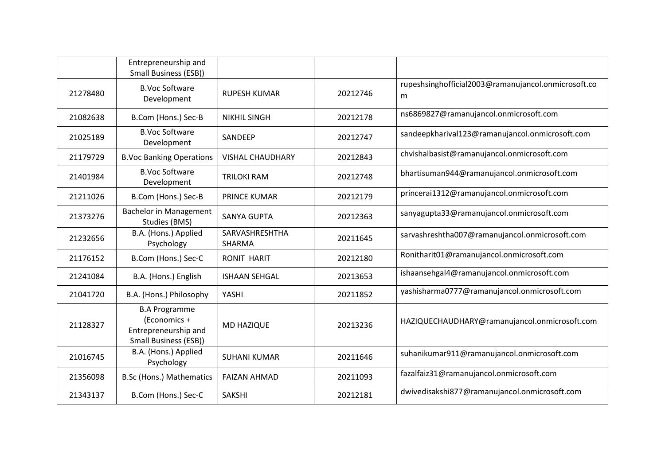|          | Entrepreneurship and<br><b>Small Business (ESB))</b>                                         |                                 |          |                                                          |
|----------|----------------------------------------------------------------------------------------------|---------------------------------|----------|----------------------------------------------------------|
| 21278480 | <b>B.Voc Software</b><br>Development                                                         | <b>RUPESH KUMAR</b>             | 20212746 | rupeshsinghofficial2003@ramanujancol.onmicrosoft.co<br>m |
| 21082638 | B.Com (Hons.) Sec-B                                                                          | <b>NIKHIL SINGH</b>             | 20212178 | ns6869827@ramanujancol.onmicrosoft.com                   |
| 21025189 | <b>B.Voc Software</b><br>Development                                                         | SANDEEP                         | 20212747 | sandeepkharival123@ramanujancol.onmicrosoft.com          |
| 21179729 | <b>B.Voc Banking Operations</b>                                                              | <b>VISHAL CHAUDHARY</b>         | 20212843 | chvishalbasist@ramanujancol.onmicrosoft.com              |
| 21401984 | <b>B.Voc Software</b><br>Development                                                         | <b>TRILOKI RAM</b>              | 20212748 | bhartisuman944@ramanujancol.onmicrosoft.com              |
| 21211026 | B.Com (Hons.) Sec-B                                                                          | <b>PRINCE KUMAR</b>             | 20212179 | princerai1312@ramanujancol.onmicrosoft.com               |
| 21373276 | <b>Bachelor in Management</b><br>Studies (BMS)                                               | <b>SANYA GUPTA</b>              | 20212363 | sanyagupta33@ramanujancol.onmicrosoft.com                |
| 21232656 | B.A. (Hons.) Applied<br>Psychology                                                           | SARVASHRESHTHA<br><b>SHARMA</b> | 20211645 | sarvashreshtha007@ramanujancol.onmicrosoft.com           |
| 21176152 | B.Com (Hons.) Sec-C                                                                          | <b>RONIT HARIT</b>              | 20212180 | Ronitharit01@ramanujancol.onmicrosoft.com                |
| 21241084 | B.A. (Hons.) English                                                                         | <b>ISHAAN SEHGAL</b>            | 20213653 | ishaansehgal4@ramanujancol.onmicrosoft.com               |
| 21041720 | B.A. (Hons.) Philosophy                                                                      | YASHI                           | 20211852 | yashisharma0777@ramanujancol.onmicrosoft.com             |
| 21128327 | <b>B.A Programme</b><br>(Economics +<br>Entrepreneurship and<br><b>Small Business (ESB))</b> | MD HAZIQUE                      | 20213236 | HAZIQUECHAUDHARY@ramanujancol.onmicrosoft.com            |
| 21016745 | B.A. (Hons.) Applied<br>Psychology                                                           | <b>SUHANI KUMAR</b>             | 20211646 | suhanikumar911@ramanujancol.onmicrosoft.com              |
| 21356098 | B.Sc (Hons.) Mathematics                                                                     | <b>FAIZAN AHMAD</b>             | 20211093 | fazalfaiz31@ramanujancol.onmicrosoft.com                 |
| 21343137 | B.Com (Hons.) Sec-C                                                                          | <b>SAKSHI</b>                   | 20212181 | dwivedisakshi877@ramanujancol.onmicrosoft.com            |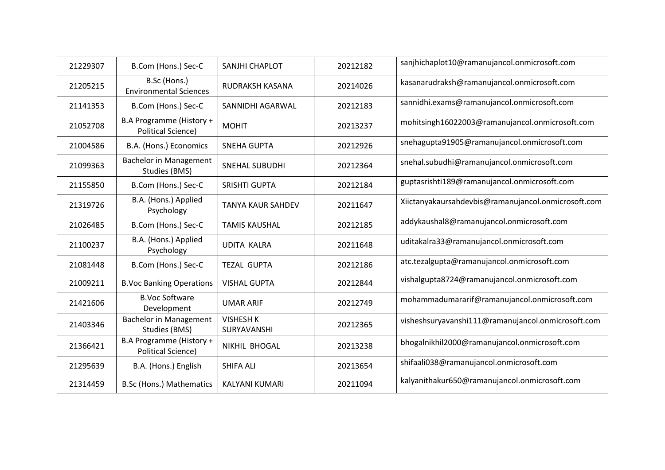| 21229307 | B.Com (Hons.) Sec-C                                   | SANJHI CHAPLOT                  | 20212182 | sanjhichaplot10@ramanujancol.onmicrosoft.com        |
|----------|-------------------------------------------------------|---------------------------------|----------|-----------------------------------------------------|
| 21205215 | B.Sc (Hons.)<br><b>Environmental Sciences</b>         | RUDRAKSH KASANA                 | 20214026 | kasanarudraksh@ramanujancol.onmicrosoft.com         |
| 21141353 | B.Com (Hons.) Sec-C                                   | SANNIDHI AGARWAL                | 20212183 | sannidhi.exams@ramanujancol.onmicrosoft.com         |
| 21052708 | B.A Programme (History +<br><b>Political Science)</b> | <b>MOHIT</b>                    | 20213237 | mohitsingh16022003@ramanujancol.onmicrosoft.com     |
| 21004586 | B.A. (Hons.) Economics                                | <b>SNEHA GUPTA</b>              | 20212926 | snehagupta91905@ramanujancol.onmicrosoft.com        |
| 21099363 | <b>Bachelor in Management</b><br>Studies (BMS)        | <b>SNEHAL SUBUDHI</b>           | 20212364 | snehal.subudhi@ramanujancol.onmicrosoft.com         |
| 21155850 | B.Com (Hons.) Sec-C                                   | <b>SRISHTI GUPTA</b>            | 20212184 | guptasrishti189@ramanujancol.onmicrosoft.com        |
| 21319726 | B.A. (Hons.) Applied<br>Psychology                    | <b>TANYA KAUR SAHDEV</b>        | 20211647 | Xiictanyakaursahdevbis@ramanujancol.onmicrosoft.com |
| 21026485 | B.Com (Hons.) Sec-C                                   | <b>TAMIS KAUSHAL</b>            | 20212185 | addykaushal8@ramanujancol.onmicrosoft.com           |
| 21100237 | B.A. (Hons.) Applied<br>Psychology                    | <b>UDITA KALRA</b>              | 20211648 | uditakalra33@ramanujancol.onmicrosoft.com           |
| 21081448 | B.Com (Hons.) Sec-C                                   | <b>TEZAL GUPTA</b>              | 20212186 | atc.tezalgupta@ramanujancol.onmicrosoft.com         |
| 21009211 | <b>B.Voc Banking Operations</b>                       | <b>VISHAL GUPTA</b>             | 20212844 | vishalgupta8724@ramanujancol.onmicrosoft.com        |
| 21421606 | <b>B.Voc Software</b><br>Development                  | <b>UMAR ARIF</b>                | 20212749 | mohammadumararif@ramanujancol.onmicrosoft.com       |
| 21403346 | <b>Bachelor in Management</b><br>Studies (BMS)        | <b>VISHESH K</b><br>SURYAVANSHI | 20212365 | visheshsuryavanshi111@ramanujancol.onmicrosoft.com  |
| 21366421 | B.A Programme (History +<br><b>Political Science)</b> | NIKHIL BHOGAL                   | 20213238 | bhogalnikhil2000@ramanujancol.onmicrosoft.com       |
| 21295639 | B.A. (Hons.) English                                  | <b>SHIFA ALI</b>                | 20213654 | shifaali038@ramanujancol.onmicrosoft.com            |
| 21314459 | B.Sc (Hons.) Mathematics                              | <b>KALYANI KUMARI</b>           | 20211094 | kalyanithakur650@ramanujancol.onmicrosoft.com       |